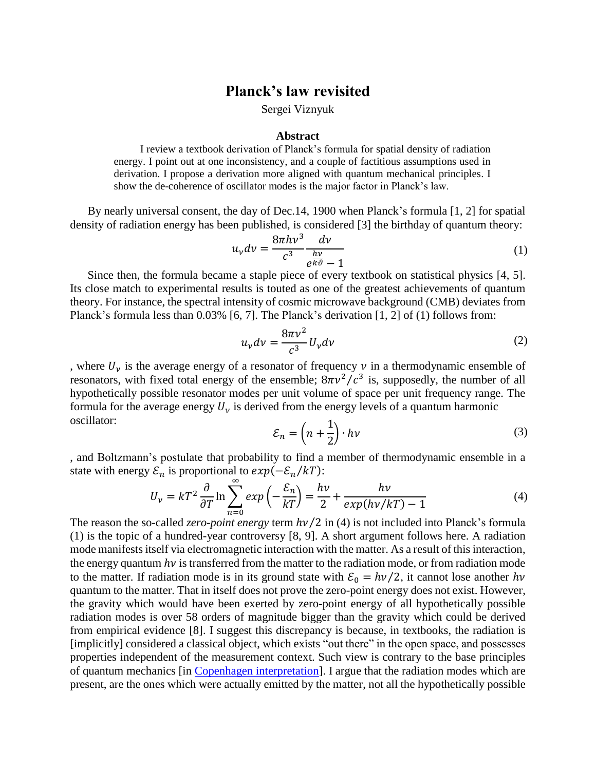## **Planck's law revisited**

Sergei Viznyuk

## **Abstract**

I review a textbook derivation of Planck's formula for spatial density of radiation energy. I point out at one inconsistency, and a couple of factitious assumptions used in derivation. I propose a derivation more aligned with quantum mechanical principles. I show the de-coherence of oscillator modes is the major factor in Planck's law.

By nearly universal consent, the day of Dec.14, 1900 when Planck's formula [1, 2] for spatial density of radiation energy has been published, is considered [3] the birthday of quantum theory:

$$
u_{\nu}dv = \frac{8\pi h\nu^3}{c^3} \frac{d\nu}{e^{\frac{h\nu}{k\vartheta}} - 1}
$$
 (1)

Since then, the formula became a staple piece of every textbook on statistical physics [4, 5]. Its close match to experimental results is touted as one of the greatest achievements of quantum theory. For instance, the spectral intensity of cosmic microwave background (CMB) deviates from Planck's formula less than 0.03% [6, 7]. The Planck's derivation [1, 2] of (1) follows from:

$$
u_{\nu}dv = \frac{8\pi\nu^2}{c^3}U_{\nu}dv
$$
 (2)

, where  $U_{\nu}$  is the average energy of a resonator of frequency  $\nu$  in a thermodynamic ensemble of resonators, with fixed total energy of the ensemble;  $8\pi v^2/c^3$  is, supposedly, the number of all hypothetically possible resonator modes per unit volume of space per unit frequency range. The formula for the average energy  $U_{\nu}$  is derived from the energy levels of a quantum harmonic oscillator:

$$
\mathcal{E}_n = \left(n + \frac{1}{2}\right) \cdot h\nu \tag{3}
$$

, and Boltzmann's postulate that probability to find a member of thermodynamic ensemble in a state with energy  $\mathcal{E}_n$  is proportional to  $exp(-\mathcal{E}_n/kT)$ :

$$
U_{\nu} = kT^2 \frac{\partial}{\partial T} \ln \sum_{n=0}^{\infty} exp\left(-\frac{\mathcal{E}_n}{kT}\right) = \frac{h\nu}{2} + \frac{h\nu}{exp(h\nu/kT) - 1}
$$
(4)

The reason the so-called *zero-point energy* term  $h\nu/2$  in (4) is not included into Planck's formula (1) is the topic of a hundred-year controversy [8, 9]. A short argument follows here. A radiation mode manifests itself via electromagnetic interaction with the matter. As a result of this interaction, the energy quantum  $h\nu$  is transferred from the matter to the radiation mode, or from radiation mode to the matter. If radiation mode is in its ground state with  $\mathcal{E}_0 = h\nu/2$ , it cannot lose another  $h\nu$ quantum to the matter. That in itself does not prove the zero-point energy does not exist. However, the gravity which would have been exerted by zero-point energy of all hypothetically possible radiation modes is over 58 orders of magnitude bigger than the gravity which could be derived from empirical evidence [8]. I suggest this discrepancy is because, in textbooks, the radiation is [implicitly] considered a classical object, which exists "out there" in the open space, and possesses properties independent of the measurement context. Such view is contrary to the base principles of quantum mechanics [in [Copenhagen interpretation\]](https://en.wikipedia.org/wiki/Copenhagen_interpretation). I argue that the radiation modes which are present, are the ones which were actually emitted by the matter, not all the hypothetically possible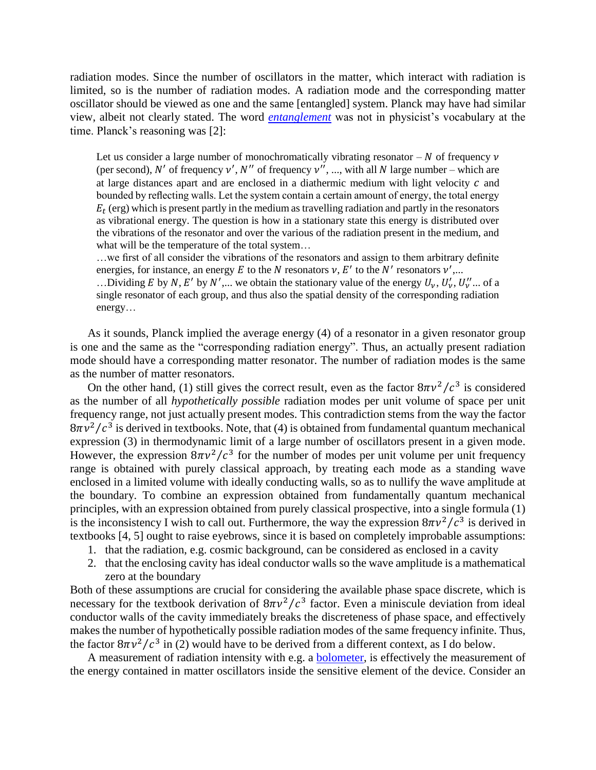radiation modes. Since the number of oscillators in the matter, which interact with radiation is limited, so is the number of radiation modes. A radiation mode and the corresponding matter oscillator should be viewed as one and the same [entangled] system. Planck may have had similar view, albeit not clearly stated. The word *[entanglement](https://en.wikipedia.org/wiki/Quantum_entanglement)* was not in physicist's vocabulary at the time. Planck's reasoning was [2]:

Let us consider a large number of monochromatically vibrating resonator  $-N$  of frequency  $\nu$ (per second), N' of frequency  $v'$ , N'' of frequency  $v''$ , ..., with all N large number – which are at large distances apart and are enclosed in a diathermic medium with light velocity  $c$  and bounded by reflecting walls. Let the system contain a certain amount of energy, the total energy  $E_t$  (erg) which is present partly in the medium as travelling radiation and partly in the resonators as vibrational energy. The question is how in a stationary state this energy is distributed over the vibrations of the resonator and over the various of the radiation present in the medium, and what will be the temperature of the total system...

…we first of all consider the vibrations of the resonators and assign to them arbitrary definite energies, for instance, an energy E to the N resonators  $v, E'$  to the N' resonators  $v'$ ,...

...Dividing E by N, E' by N',... we obtain the stationary value of the energy  $U_{\nu}$ ,  $U_{\nu}'$ ,  $U_{\nu}''$ ... of a single resonator of each group, and thus also the spatial density of the corresponding radiation energy…

As it sounds, Planck implied the average energy (4) of a resonator in a given resonator group is one and the same as the "corresponding radiation energy". Thus, an actually present radiation mode should have a corresponding matter resonator. The number of radiation modes is the same as the number of matter resonators.

On the other hand, (1) still gives the correct result, even as the factor  $8\pi v^2/c^3$  is considered as the number of all *hypothetically possible* radiation modes per unit volume of space per unit frequency range, not just actually present modes. This contradiction stems from the way the factor  $8\pi v^2/c^3$  is derived in textbooks. Note, that (4) is obtained from fundamental quantum mechanical expression (3) in thermodynamic limit of a large number of oscillators present in a given mode. However, the expression  $8\pi v^2/c^3$  for the number of modes per unit volume per unit frequency range is obtained with purely classical approach, by treating each mode as a standing wave enclosed in a limited volume with ideally conducting walls, so as to nullify the wave amplitude at the boundary. To combine an expression obtained from fundamentally quantum mechanical principles, with an expression obtained from purely classical prospective, into a single formula (1) is the inconsistency I wish to call out. Furthermore, the way the expression  $8\pi v^2/c^3$  is derived in textbooks [4, 5] ought to raise eyebrows, since it is based on completely improbable assumptions:

- 1. that the radiation, e.g. cosmic background, can be considered as enclosed in a cavity
- 2. that the enclosing cavity has ideal conductor walls so the wave amplitude is a mathematical zero at the boundary

Both of these assumptions are crucial for considering the available phase space discrete, which is necessary for the textbook derivation of  $8\pi v^2/c^3$  factor. Even a miniscule deviation from ideal conductor walls of the cavity immediately breaks the discreteness of phase space, and effectively makes the number of hypothetically possible radiation modes of the same frequency infinite. Thus, the factor  $8\pi v^2/c^3$  in (2) would have to be derived from a different context, as I do below.

A measurement of radiation intensity with e.g. a **bolometer**, is effectively the measurement of the energy contained in matter oscillators inside the sensitive element of the device. Consider an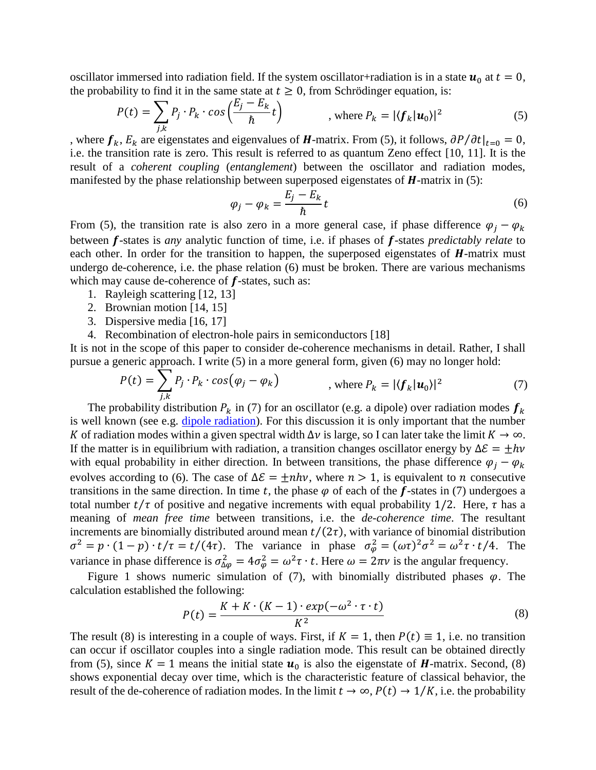oscillator immersed into radiation field. If the system oscillator+radiation is in a state  $u_0$  at  $t = 0$ , the probability to find it in the same state at  $t \geq 0$ , from Schrödinger equation, is:

$$
P(t) = \sum_{j,k} P_j \cdot P_k \cdot \cos\left(\frac{E_j - E_k}{\hbar} t\right) \qquad , \text{ where } P_k = |\langle f_k | \mathbf{u}_0 \rangle|^2 \tag{5}
$$

, where  $f_k$ ,  $E_k$  are eigenstates and eigenvalues of **H**-matrix. From (5), it follows,  $\partial P / \partial t |_{t=0} = 0$ , i.e. the transition rate is zero. This result is referred to as quantum Zeno effect [10, 11]. It is the result of a *coherent coupling* (*entanglement*) between the oscillator and radiation modes, manifested by the phase relationship between superposed eigenstates of  $H$ -matrix in (5):

$$
\varphi_j - \varphi_k = \frac{E_j - E_k}{\hbar} t \tag{6}
$$

From (5), the transition rate is also zero in a more general case, if phase difference  $\varphi_i - \varphi_k$ between **f**-states is *any* analytic function of time, i.e. if phases of **f**-states *predictably relate* to each other. In order for the transition to happen, the superposed eigenstates of  $H$ -matrix must undergo de-coherence, i.e. the phase relation (6) must be broken. There are various mechanisms which may cause de-coherence of  $f$ -states, such as:

- 1. Rayleigh scattering [12, 13]
- 2. Brownian motion [14, 15]
- 3. Dispersive media [16, 17]
- 4. Recombination of electron-hole pairs in semiconductors [18]

It is not in the scope of this paper to consider de-coherence mechanisms in detail. Rather, I shall pursue a generic approach. I write (5) in a more general form, given (6) may no longer hold:

$$
P(t) = \sum_{j,k} P_j \cdot P_k \cdot \cos(\varphi_j - \varphi_k) \qquad , \text{ where } P_k = |\langle f_k | \mathbf{u}_0 \rangle|^2 \tag{7}
$$

The probability distribution  $P_k$  in (7) for an oscillator (e.g. a dipole) over radiation modes  $f_k$ is well known (see e.g. [dipole radiation\)](https://en.wikipedia.org/wiki/Dipole#Dipole_radiation). For this discussion it is only important that the number K of radiation modes within a given spectral width  $\Delta v$  is large, so I can later take the limit  $K \to \infty$ . If the matter is in equilibrium with radiation, a transition changes oscillator energy by  $\Delta \mathcal{E} = \pm h v$ with equal probability in either direction. In between transitions, the phase difference  $\varphi_i - \varphi_k$ evolves according to (6). The case of  $\Delta \mathcal{E} = \pm nhv$ , where  $n > 1$ , is equivalent to *n* consecutive transitions in the same direction. In time t, the phase  $\varphi$  of each of the f-states in (7) undergoes a total number  $t/\tau$  of positive and negative increments with equal probability 1/2. Here,  $\tau$  has a meaning of *mean free time* between transitions, i.e. the *de-coherence time*. The resultant increments are binomially distributed around mean  $t/(2\tau)$ , with variance of binomial distribution  $\sigma^2 = p \cdot (1-p) \cdot t/\tau = t/(4\tau)$ . The variance in phase  $\sigma_\varphi^2 = (\omega \tau)^2 \sigma^2 = \omega^2 \tau \cdot t/4$ . The variance in phase difference is  $\sigma_{\Delta\varphi}^2 = 4\sigma_{\varphi}^2 = \omega^2 \tau \cdot t$ . Here  $\omega = 2\pi \nu$  is the angular frequency.

Figure 1 shows numeric simulation of (7), with binomially distributed phases  $\varphi$ . The calculation established the following:

$$
P(t) = \frac{K + K \cdot (K - 1) \cdot exp(-\omega^2 \cdot \tau \cdot t)}{K^2}
$$
\n(8)

The result (8) is interesting in a couple of ways. First, if  $K = 1$ , then  $P(t) \equiv 1$ , i.e. no transition can occur if oscillator couples into a single radiation mode. This result can be obtained directly from (5), since  $K = 1$  means the initial state  $u_0$  is also the eigenstate of *H*-matrix. Second, (8) shows exponential decay over time, which is the characteristic feature of classical behavior, the result of the de-coherence of radiation modes. In the limit  $t \to \infty$ ,  $P(t) \to 1/K$ , i.e. the probability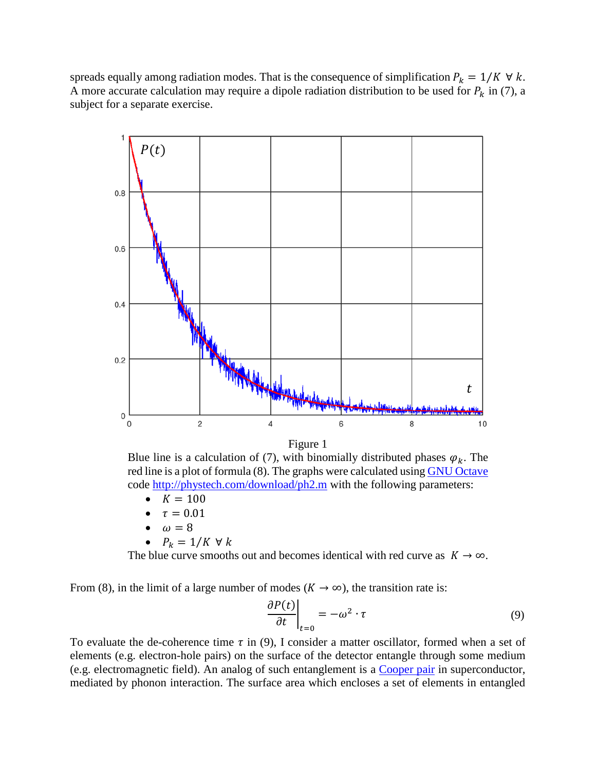spreads equally among radiation modes. That is the consequence of simplification  $P_k = 1/K \forall k$ . A more accurate calculation may require a dipole radiation distribution to be used for  $P_k$  in (7), a subject for a separate exercise.



Figure 1

Blue line is a calculation of (7), with binomially distributed phases  $\varphi_k$ . The red line is a plot of formula (8). The graphs were calculated usin[g GNU Octave](https://www.gnu.org/software/octave/) code<http://phystech.com/download/ph2.m> with the following parameters:

- $K = 100$
- $\tau = 0.01$
- $\omega = 8$
- $P_k = 1/K \forall k$

The blue curve smooths out and becomes identical with red curve as  $K \to \infty$ .

From (8), in the limit of a large number of modes ( $K \to \infty$ ), the transition rate is:

$$
\left. \frac{\partial P(t)}{\partial t} \right|_{t=0} = -\omega^2 \cdot \tau \tag{9}
$$

To evaluate the de-coherence time  $\tau$  in (9), I consider a matter oscillator, formed when a set of elements (e.g. electron-hole pairs) on the surface of the detector entangle through some medium (e.g. electromagnetic field). An analog of such entanglement is a [Cooper pair](https://en.wikipedia.org/wiki/Cooper_pair) in superconductor, mediated by phonon interaction. The surface area which encloses a set of elements in entangled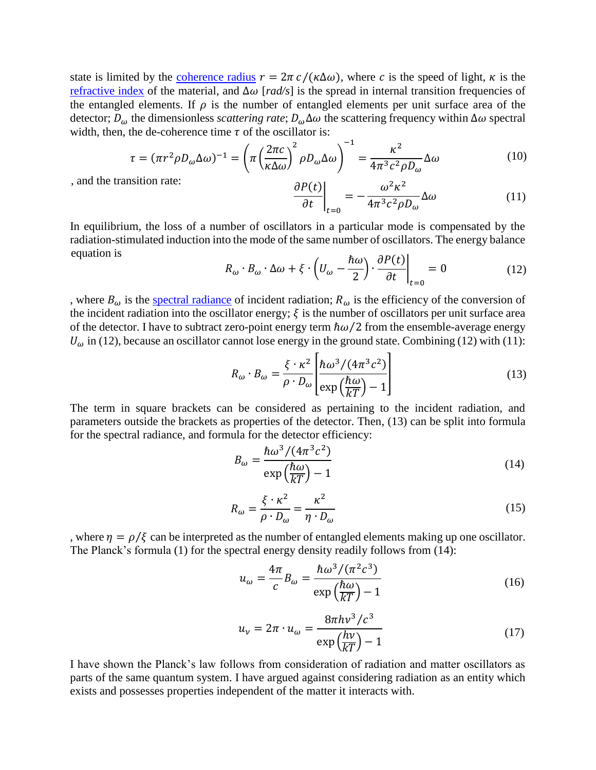state is limited by the [coherence radius](https://en.wikipedia.org/wiki/Coherence_length)  $r = 2\pi c/(\kappa \Delta \omega)$ , where c is the speed of light,  $\kappa$  is the [refractive index](https://en.wikipedia.org/wiki/Refractive_index) of the material, and ∆ [*rad/s*] is the spread in internal transition frequencies of the entangled elements. If  $\rho$  is the number of entangled elements per unit surface area of the detector;  $D_{\omega}$  the dimensionless *scattering rate*;  $D_{\omega} \Delta \omega$  the scattering frequency within  $\Delta \omega$  spectral width, then, the de-coherence time  $\tau$  of the oscillator is:

$$
\tau = (\pi r^2 \rho D_{\omega} \Delta \omega)^{-1} = \left(\pi \left(\frac{2\pi c}{\kappa \Delta \omega}\right)^2 \rho D_{\omega} \Delta \omega\right)^{-1} = \frac{\kappa^2}{4\pi^3 c^2 \rho D_{\omega}} \Delta \omega \tag{10}
$$

, and the transition rate:

$$
\frac{\partial P(t)}{\partial t}\Big|_{t=0} = -\frac{\omega^2 \kappa^2}{4\pi^3 c^2 \rho D_\omega} \Delta \omega \tag{11}
$$

In equilibrium, the loss of a number of oscillators in a particular mode is compensated by the radiation-stimulated induction into the mode of the same number of oscillators. The energy balance equation is

$$
R_{\omega} \cdot B_{\omega} \cdot \Delta \omega + \xi \cdot \left( U_{\omega} - \frac{\hbar \omega}{2} \right) \cdot \frac{\partial P(t)}{\partial t} \bigg|_{t=0} = 0 \tag{12}
$$

, where  $B_{\omega}$  is the [spectral radiance](https://en.wikipedia.org/wiki/Radiance) of incident radiation;  $R_{\omega}$  is the efficiency of the conversion of the incident radiation into the oscillator energy;  $\xi$  is the number of oscillators per unit surface area of the detector. I have to subtract zero-point energy term  $\hbar\omega/2$  from the ensemble-average energy  $U_{\omega}$  in (12), because an oscillator cannot lose energy in the ground state. Combining (12) with (11):

$$
R_{\omega} \cdot B_{\omega} = \frac{\xi \cdot \kappa^2}{\rho \cdot D_{\omega}} \left[ \frac{\hbar \omega^3 / (4\pi^3 c^2)}{\exp\left(\frac{\hbar \omega}{kT}\right) - 1} \right]
$$
(13)

The term in square brackets can be considered as pertaining to the incident radiation, and parameters outside the brackets as properties of the detector. Then, (13) can be split into formula for the spectral radiance, and formula for the detector efficiency:

$$
B_{\omega} = \frac{\hbar \omega^3 / (4\pi^3 c^2)}{\exp\left(\frac{\hbar \omega}{kT}\right) - 1}
$$
(14)

$$
R_{\omega} = \frac{\xi \cdot \kappa^2}{\rho \cdot D_{\omega}} = \frac{\kappa^2}{\eta \cdot D_{\omega}}
$$
 (15)

, where  $\eta = \rho/\xi$  can be interpreted as the number of entangled elements making up one oscillator. The Planck's formula (1) for the spectral energy density readily follows from (14):

$$
u_{\omega} = \frac{4\pi}{c} B_{\omega} = \frac{\hbar \omega^3 / (\pi^2 c^3)}{\exp\left(\frac{\hbar \omega}{kT}\right) - 1}
$$
(16)

$$
u_{\nu} = 2\pi \cdot u_{\omega} = \frac{8\pi h v^3 / c^3}{\exp\left(\frac{h\nu}{kT}\right) - 1}
$$
 (17)

I have shown the Planck's law follows from consideration of radiation and matter oscillators as parts of the same quantum system. I have argued against considering radiation as an entity which exists and possesses properties independent of the matter it interacts with.